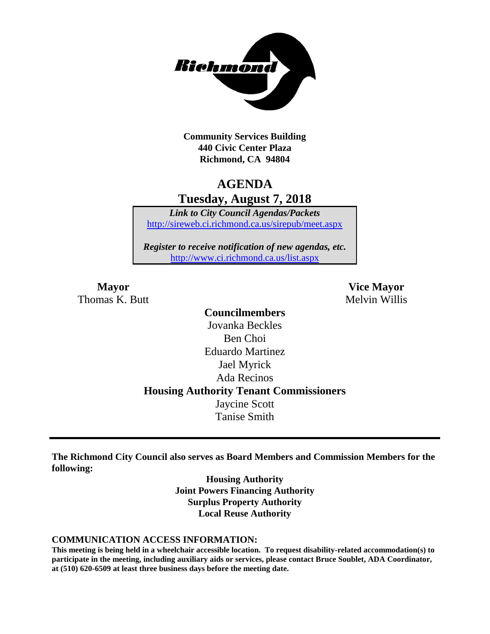

**Community Services Building 440 Civic Center Plaza Richmond, CA 94804**

## **AGENDA Tuesday, August 7, 2018**

*Link to City Council Agendas/Packets* <http://sireweb.ci.richmond.ca.us/sirepub/meet.aspx>

*Register to receive notification of new agendas, etc.* <http://www.ci.richmond.ca.us/list.aspx>

Thomas K. Butt Melvin Willis

**Mayor Vice Mayor**

**Councilmembers** Jovanka Beckles Ben Choi Eduardo Martinez Jael Myrick Ada Recinos **Housing Authority Tenant Commissioners** Jaycine Scott Tanise Smith

**The Richmond City Council also serves as Board Members and Commission Members for the following:**

> **Housing Authority Joint Powers Financing Authority Surplus Property Authority Local Reuse Authority**

#### **COMMUNICATION ACCESS INFORMATION:**

**This meeting is being held in a wheelchair accessible location. To request disability-related accommodation(s) to participate in the meeting, including auxiliary aids or services, please contact Bruce Soublet, ADA Coordinator, at (510) 620-6509 at least three business days before the meeting date.**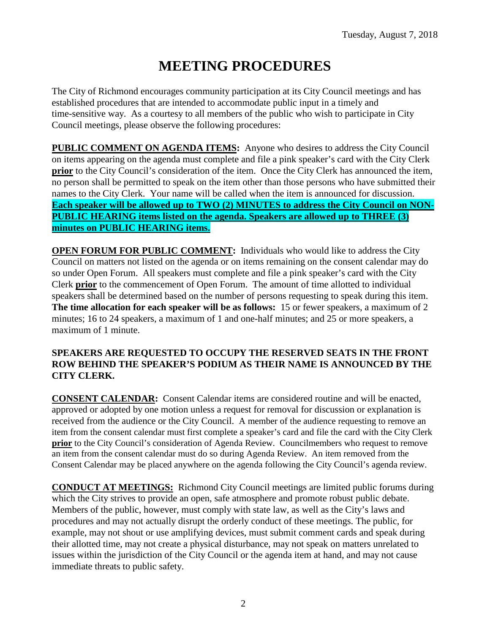# **MEETING PROCEDURES**

The City of Richmond encourages community participation at its City Council meetings and has established procedures that are intended to accommodate public input in a timely and time-sensitive way. As a courtesy to all members of the public who wish to participate in City Council meetings, please observe the following procedures:

**PUBLIC COMMENT ON AGENDA ITEMS:** Anyone who desires to address the City Council on items appearing on the agenda must complete and file a pink speaker's card with the City Clerk **prior** to the City Council's consideration of the item. Once the City Clerk has announced the item, no person shall be permitted to speak on the item other than those persons who have submitted their names to the City Clerk. Your name will be called when the item is announced for discussion. **Each speaker will be allowed up to TWO (2) MINUTES to address the City Council on NON-PUBLIC HEARING items listed on the agenda. Speakers are allowed up to THREE (3) minutes on PUBLIC HEARING items.**

**OPEN FORUM FOR PUBLIC COMMENT:** Individuals who would like to address the City Council on matters not listed on the agenda or on items remaining on the consent calendar may do so under Open Forum. All speakers must complete and file a pink speaker's card with the City Clerk **prior** to the commencement of Open Forum. The amount of time allotted to individual speakers shall be determined based on the number of persons requesting to speak during this item. **The time allocation for each speaker will be as follows:** 15 or fewer speakers, a maximum of 2 minutes; 16 to 24 speakers, a maximum of 1 and one-half minutes; and 25 or more speakers, a maximum of 1 minute.

#### **SPEAKERS ARE REQUESTED TO OCCUPY THE RESERVED SEATS IN THE FRONT ROW BEHIND THE SPEAKER'S PODIUM AS THEIR NAME IS ANNOUNCED BY THE CITY CLERK.**

**CONSENT CALENDAR:** Consent Calendar items are considered routine and will be enacted, approved or adopted by one motion unless a request for removal for discussion or explanation is received from the audience or the City Council. A member of the audience requesting to remove an item from the consent calendar must first complete a speaker's card and file the card with the City Clerk **prior** to the City Council's consideration of Agenda Review. Councilmembers who request to remove an item from the consent calendar must do so during Agenda Review. An item removed from the Consent Calendar may be placed anywhere on the agenda following the City Council's agenda review.

**CONDUCT AT MEETINGS:** Richmond City Council meetings are limited public forums during which the City strives to provide an open, safe atmosphere and promote robust public debate. Members of the public, however, must comply with state law, as well as the City's laws and procedures and may not actually disrupt the orderly conduct of these meetings. The public, for example, may not shout or use amplifying devices, must submit comment cards and speak during their allotted time, may not create a physical disturbance, may not speak on matters unrelated to issues within the jurisdiction of the City Council or the agenda item at hand, and may not cause immediate threats to public safety.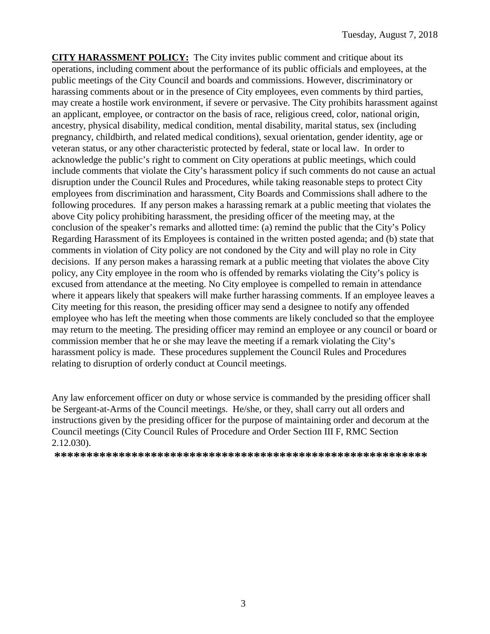**CITY HARASSMENT POLICY:** The City invites public comment and critique about its operations, including comment about the performance of its public officials and employees, at the public meetings of the City Council and boards and commissions. However, discriminatory or harassing comments about or in the presence of City employees, even comments by third parties, may create a hostile work environment, if severe or pervasive. The City prohibits harassment against an applicant, employee, or contractor on the basis of race, religious creed, color, national origin, ancestry, physical disability, medical condition, mental disability, marital status, sex (including pregnancy, childbirth, and related medical conditions), sexual orientation, gender identity, age or veteran status, or any other characteristic protected by federal, state or local law. In order to acknowledge the public's right to comment on City operations at public meetings, which could include comments that violate the City's harassment policy if such comments do not cause an actual disruption under the Council Rules and Procedures, while taking reasonable steps to protect City employees from discrimination and harassment, City Boards and Commissions shall adhere to the following procedures. If any person makes a harassing remark at a public meeting that violates the above City policy prohibiting harassment, the presiding officer of the meeting may, at the conclusion of the speaker's remarks and allotted time: (a) remind the public that the City's Policy Regarding Harassment of its Employees is contained in the written posted agenda; and (b) state that comments in violation of City policy are not condoned by the City and will play no role in City decisions. If any person makes a harassing remark at a public meeting that violates the above City policy, any City employee in the room who is offended by remarks violating the City's policy is excused from attendance at the meeting. No City employee is compelled to remain in attendance where it appears likely that speakers will make further harassing comments. If an employee leaves a City meeting for this reason, the presiding officer may send a designee to notify any offended employee who has left the meeting when those comments are likely concluded so that the employee may return to the meeting. The presiding officer may remind an employee or any council or board or commission member that he or she may leave the meeting if a remark violating the City's harassment policy is made. These procedures supplement the Council Rules and Procedures relating to disruption of orderly conduct at Council meetings.

Any law enforcement officer on duty or whose service is commanded by the presiding officer shall be Sergeant-at-Arms of the Council meetings. He/she, or they, shall carry out all orders and instructions given by the presiding officer for the purpose of maintaining order and decorum at the Council meetings (City Council Rules of Procedure and Order Section III F, RMC Section 2.12.030).

**\*\*\*\*\*\*\*\*\*\*\*\*\*\*\*\*\*\*\*\*\*\*\*\*\*\*\*\*\*\*\*\*\*\*\*\*\*\*\*\*\*\*\*\*\*\*\*\*\*\*\*\*\*\*\*\*\*\***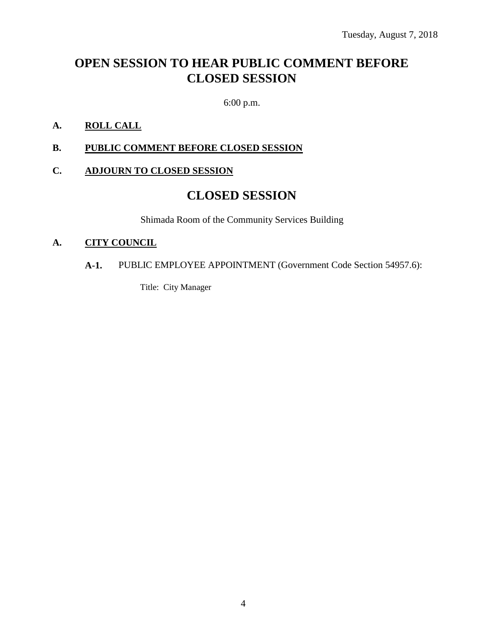# **OPEN SESSION TO HEAR PUBLIC COMMENT BEFORE CLOSED SESSION**

6:00 p.m.

#### **A. ROLL CALL**

**B. PUBLIC COMMENT BEFORE CLOSED SESSION**

#### **C. ADJOURN TO CLOSED SESSION**

### **CLOSED SESSION**

Shimada Room of the Community Services Building

#### **A. CITY COUNCIL**

#### **A-1.** PUBLIC EMPLOYEE APPOINTMENT (Government Code Section 54957.6):

Title: City Manager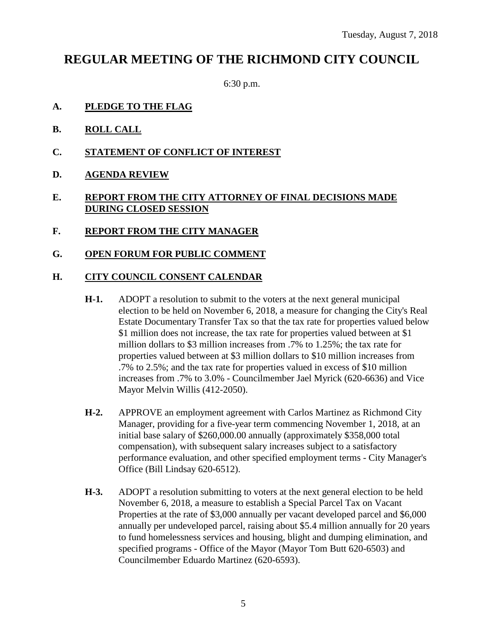# **REGULAR MEETING OF THE RICHMOND CITY COUNCIL**

6:30 p.m.

- **A. PLEDGE TO THE FLAG**
- **B. ROLL CALL**
- **C. STATEMENT OF CONFLICT OF INTEREST**
- **D. AGENDA REVIEW**

#### **E. REPORT FROM THE CITY ATTORNEY OF FINAL DECISIONS MADE DURING CLOSED SESSION**

- **F. REPORT FROM THE CITY MANAGER**
- **G. OPEN FORUM FOR PUBLIC COMMENT**

#### **H. CITY COUNCIL CONSENT CALENDAR**

- **H-1.** ADOPT a resolution to submit to the voters at the next general municipal election to be held on November 6, 2018, a measure for changing the City's Real Estate Documentary Transfer Tax so that the tax rate for properties valued below \$1 million does not increase, the tax rate for properties valued between at \$1 million dollars to \$3 million increases from .7% to 1.25%; the tax rate for properties valued between at \$3 million dollars to \$10 million increases from .7% to 2.5%; and the tax rate for properties valued in excess of \$10 million increases from .7% to 3.0% - Councilmember Jael Myrick (620-6636) and Vice Mayor Melvin Willis (412-2050).
- **H-2.** APPROVE an employment agreement with Carlos Martinez as Richmond City Manager, providing for a five-year term commencing November 1, 2018, at an initial base salary of \$260,000.00 annually (approximately \$358,000 total compensation), with subsequent salary increases subject to a satisfactory performance evaluation, and other specified employment terms - City Manager's Office (Bill Lindsay 620-6512).
- **H-3.** ADOPT a resolution submitting to voters at the next general election to be held November 6, 2018, a measure to establish a Special Parcel Tax on Vacant Properties at the rate of \$3,000 annually per vacant developed parcel and \$6,000 annually per undeveloped parcel, raising about \$5.4 million annually for 20 years to fund homelessness services and housing, blight and dumping elimination, and specified programs - Office of the Mayor (Mayor Tom Butt 620-6503) and Councilmember Eduardo Martinez (620-6593).